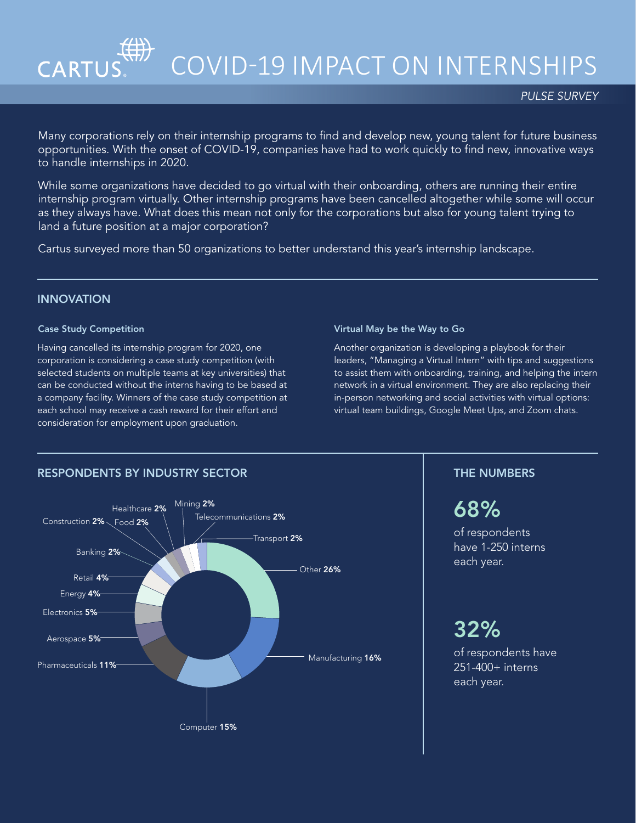

# COVID-19 IMPACT ON INTERNSHIPS

Many corporations rely on their internship programs to find and develop new, young talent for future business opportunities. With the onset of COVID-19, companies have had to work quickly to find new, innovative ways to handle internships in 2020.

While some organizations have decided to go virtual with their onboarding, others are running their entire internship program virtually. Other internship programs have been cancelled altogether while some will occur as they always have. What does this mean not only for the corporations but also for young talent trying to land a future position at a major corporation?

Cartus surveyed more than 50 organizations to better understand this year's internship landscape.

## **INNOVATION**

### Case Study Competition

Having cancelled its internship program for 2020, one corporation is considering a case study competition (with selected students on multiple teams at key universities) that can be conducted without the interns having to be based at a company facility. Winners of the case study competition at each school may receive a cash reward for their effort and consideration for employment upon graduation.

#### Virtual May be the Way to Go

Another organization is developing a playbook for their leaders, "Managing a Virtual Intern" with tips and suggestions to assist them with onboarding, training, and helping the intern network in a virtual environment. They are also replacing their in-person networking and social activities with virtual options: virtual team buildings, Google Meet Ups, and Zoom chats.



## 68%

of respondents have 1-250 interns each year.

## 32%

of respondents have 251-400+ interns each year.